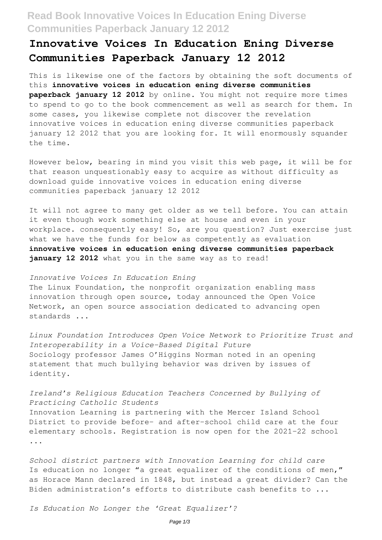## **Read Book Innovative Voices In Education Ening Diverse Communities Paperback January 12 2012**

## **Innovative Voices In Education Ening Diverse Communities Paperback January 12 2012**

This is likewise one of the factors by obtaining the soft documents of this **innovative voices in education ening diverse communities paperback january 12 2012** by online. You might not require more times to spend to go to the book commencement as well as search for them. In some cases, you likewise complete not discover the revelation innovative voices in education ening diverse communities paperback january 12 2012 that you are looking for. It will enormously squander the time.

However below, bearing in mind you visit this web page, it will be for that reason unquestionably easy to acquire as without difficulty as download guide innovative voices in education ening diverse communities paperback january 12 2012

It will not agree to many get older as we tell before. You can attain it even though work something else at house and even in your workplace. consequently easy! So, are you question? Just exercise just what we have the funds for below as competently as evaluation **innovative voices in education ening diverse communities paperback** january 12 2012 what you in the same way as to read!

*Innovative Voices In Education Ening* The Linux Foundation, the nonprofit organization enabling mass innovation through open source, today announced the Open Voice Network, an open source association dedicated to advancing open standards ...

*Linux Foundation Introduces Open Voice Network to Prioritize Trust and Interoperability in a Voice-Based Digital Future* Sociology professor James O'Higgins Norman noted in an opening statement that much bullying behavior was driven by issues of identity.

*Ireland's Religious Education Teachers Concerned by Bullying of Practicing Catholic Students* Innovation Learning is partnering with the Mercer Island School District to provide before- and after-school child care at the four elementary schools. Registration is now open for the 2021-22 school ...

*School district partners with Innovation Learning for child care* Is education no longer "a great equalizer of the conditions of men," as Horace Mann declared in 1848, but instead a great divider? Can the Biden administration's efforts to distribute cash benefits to ...

*Is Education No Longer the 'Great Equalizer'?*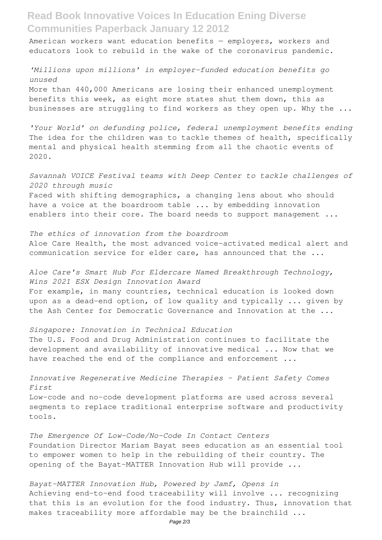**Read Book Innovative Voices In Education Ening Diverse Communities Paperback January 12 2012**

American workers want education benefits — employers, workers and educators look to rebuild in the wake of the coronavirus pandemic.

*'Millions upon millions' in employer-funded education benefits go unused* More than 440,000 Americans are losing their enhanced unemployment benefits this week, as eight more states shut them down, this as businesses are struggling to find workers as they open up. Why the ...

*'Your World' on defunding police, federal unemployment benefits ending* The idea for the children was to tackle themes of health, specifically mental and physical health stemming from all the chaotic events of 2020.

*Savannah VOICE Festival teams with Deep Center to tackle challenges of 2020 through music* Faced with shifting demographics, a changing lens about who should have a voice at the boardroom table ... by embedding innovation enablers into their core. The board needs to support management ...

*The ethics of innovation from the boardroom* Aloe Care Health, the most advanced voice-activated medical alert and communication service for elder care, has announced that the ...

*Aloe Care's Smart Hub For Eldercare Named Breakthrough Technology, Wins 2021 ESX Design Innovation Award* For example, in many countries, technical education is looked down upon as a dead-end option, of low quality and typically ... given by the Ash Center for Democratic Governance and Innovation at the ...

*Singapore: Innovation in Technical Education* The U.S. Food and Drug Administration continues to facilitate the development and availability of innovative medical ... Now that we have reached the end of the compliance and enforcement ...

*Innovative Regenerative Medicine Therapies – Patient Safety Comes First* Low-code and no-code development platforms are used across several segments to replace traditional enterprise software and productivity tools.

*The Emergence Of Low-Code/No-Code In Contact Centers* Foundation Director Mariam Bayat sees education as an essential tool to empower women to help in the rebuilding of their country. The opening of the Bayat-MATTER Innovation Hub will provide ...

*Bayat-MATTER Innovation Hub, Powered by Jamf, Opens in* Achieving end-to-end food traceability will involve ... recognizing that this is an evolution for the food industry. Thus, innovation that makes traceability more affordable may be the brainchild ...